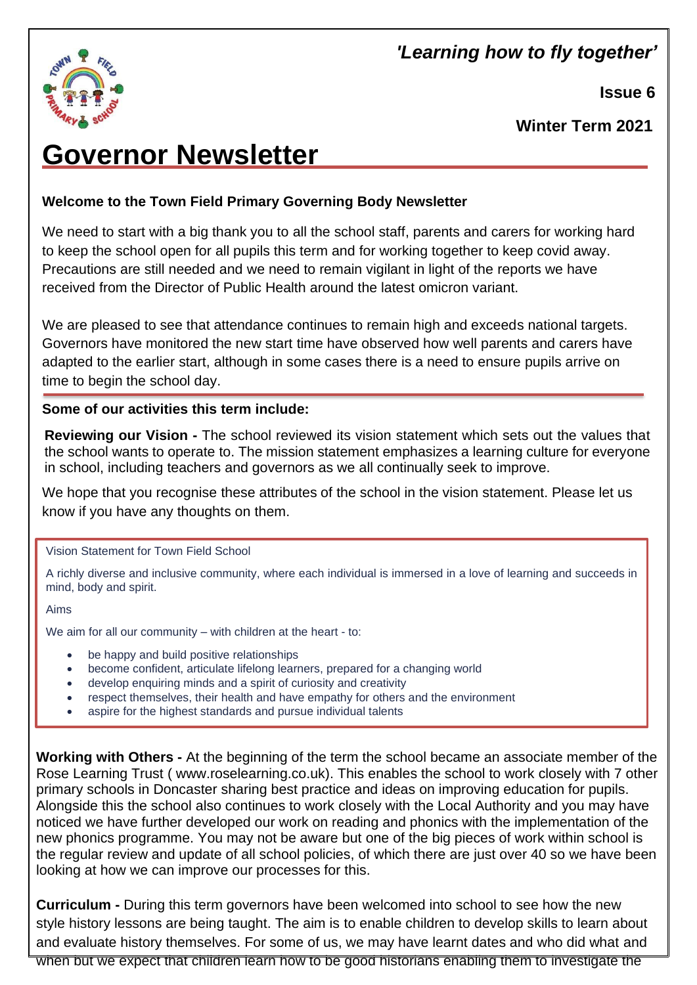## 'Learning how to fly together'



**Issue 6**

**Winter Term 2021**

# **Governor Newsletter**

### **Welcome to the Town Field Primary Governing Body Newsletter**

We need to start with a big thank you to all the school staff, parents and carers for working hard to keep the school open for all pupils this term and for working together to keep covid away. Precautions are still needed and we need to remain vigilant in light of the reports we have received from the Director of Public Health around the latest omicron variant.

We are pleased to see that attendance continues to remain high and exceeds national targets. Governors have monitored the new start time have observed how well parents and carers have adapted to the earlier start, although in some cases there is a need to ensure pupils arrive on time to begin the school day.

#### **Some of our activities this term include:**

**Reviewing our Vision -** The school reviewed its vision statement which sets out the values that the school wants to operate to. The mission statement emphasizes a learning culture for everyone in school, including teachers and governors as we all continually seek to improve.

We hope that you recognise these attributes of the school in the vision statement. Please let us know if you have any thoughts on them.

#### Vision Statement for Town Field School

A richly diverse and inclusive community, where each individual is immersed in a love of learning and succeeds in mind, body and spirit.

Aims

We aim for all our community – with children at the heart - to:

- be happy and build positive relationships
- become confident, articulate lifelong learners, prepared for a changing world
- develop enquiring minds and a spirit of curiosity and creativity
- respect themselves, their health and have empathy for others and the environment
- aspire for the highest standards and pursue individual talents

**Working with Others -** At the beginning of the term the school became an associate member of the Rose Learning Trust ( [www.roselearning.co.uk\)](http://www.roselearning.co.uk/). This enables the school to work closely with 7 other primary schools in Doncaster sharing best practice and ideas on improving education for pupils. Alongside this the school also continues to work closely with the Local Authority and you may have noticed we have further developed our work on reading and phonics with the implementation of the new phonics programme. You may not be aware but one of the big pieces of work within school is the regular review and update of all school policies, of which there are just over 40 so we have been looking at how we can improve our processes for this.

**Curriculum -** During this term governors have been welcomed into school to see how the new style history lessons are being taught. The aim is to enable children to develop skills to learn about and evaluate history themselves. For some of us, we may have learnt dates and who did what and when but we expect that children learn how to be good historians enabling them to investigate the